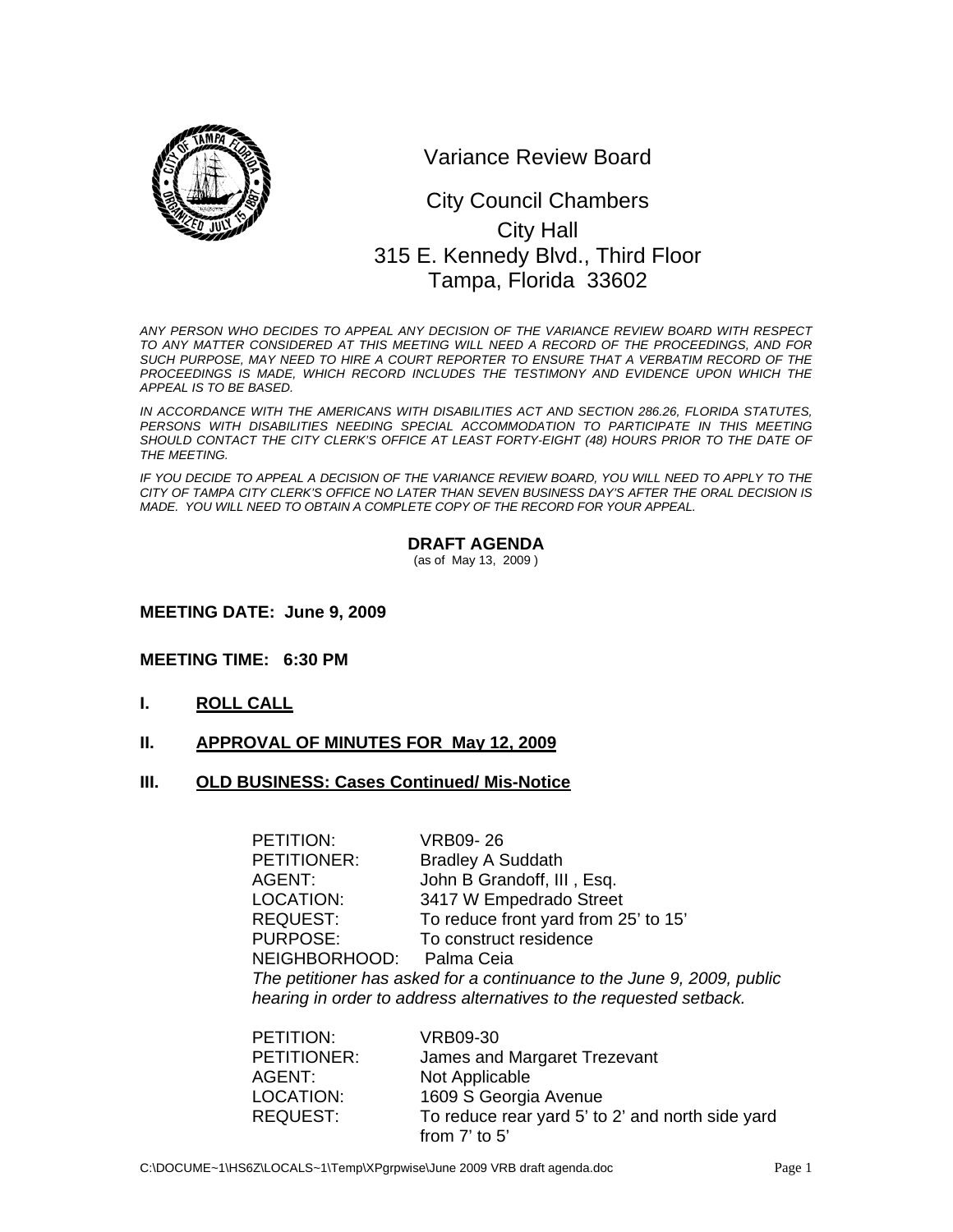

Variance Review Board

# 0 315 E. Kennedy Blvd., Third Floor City Council Chambers City Hall Tampa, Florida 33602

*ANY PERSON WHO DECIDES TO APPEAL ANY DECISION OF THE VARIANCE REVIEW BOARD WITH RESPECT TO ANY MATTER CONSIDERED AT THIS MEETING WILL NEED A RECORD OF THE PROCEEDINGS, AND FOR SUCH PURPOSE, MAY NEED TO HIRE A COURT REPORTER TO ENSURE THAT A VERBATIM RECORD OF THE*  PROCEEDINGS IS MADE, WHICH RECORD INCLUDES THE TESTIMONY AND EVIDENCE UPON WHICH THE *APPEAL IS TO BE BASED.* 

*IN ACCORDANCE WITH THE AMERICANS WITH DISABILITIES ACT AND SECTION 286.26, FLORIDA STATUTES, PERSONS WITH DISABILITIES NEEDING SPECIAL ACCOMMODATION TO PARTICIPATE IN THIS MEETING*  SHOULD CONTACT THE CITY CLERK'S OFFICE AT LEAST FORTY-EIGHT (48) HOURS PRIOR TO THE DATE OF *THE MEETING.* 

*IF YOU DECIDE TO APPEAL A DECISION OF THE VARIANCE REVIEW BOARD, YOU WILL NEED TO APPLY TO THE CITY OF TAMPA CITY CLERK'S OFFICE NO LATER THAN SEVEN BUSINESS DAY'S AFTER THE ORAL DECISION IS MADE. YOU WILL NEED TO OBTAIN A COMPLETE COPY OF THE RECORD FOR YOUR APPEAL.* 

#### **DRAFT AGENDA**

(as of May 13, 2009 )

#### **MEETING DATE: June 9, 2009**

#### **MEETING TIME: 6:30 PM**

- **I. ROLL CALL**
- **II. APPROVAL OF MINUTES FOR May 12, 2009**
- **III. OLD BUSINESS: Cases Continued/ Mis-Notice**

| PETITION:                                                                                                                                    | <b>VRB09-26</b>                      |  |
|----------------------------------------------------------------------------------------------------------------------------------------------|--------------------------------------|--|
| PETITIONER:                                                                                                                                  | <b>Bradley A Suddath</b>             |  |
| AGENT:                                                                                                                                       | John B Grandoff, III, Esq.           |  |
| LOCATION:                                                                                                                                    | 3417 W Empedrado Street              |  |
| <b>REQUEST:</b>                                                                                                                              | To reduce front yard from 25' to 15' |  |
| <b>PURPOSE:</b>                                                                                                                              | To construct residence               |  |
| NEIGHBORHOOD: Palma Ceia                                                                                                                     |                                      |  |
| The petitioner has asked for a continuance to the June 9, 2009, public<br>hearing in order to address alternatives to the requested setback. |                                      |  |

| PETITION:          | VRB09-30                                         |
|--------------------|--------------------------------------------------|
| <b>PETITIONER:</b> | James and Margaret Trezevant                     |
| AGENT:             | Not Applicable                                   |
| LOCATION:          | 1609 S Georgia Avenue                            |
| <b>REQUEST:</b>    | To reduce rear yard 5' to 2' and north side yard |
|                    | from $7'$ to $5'$                                |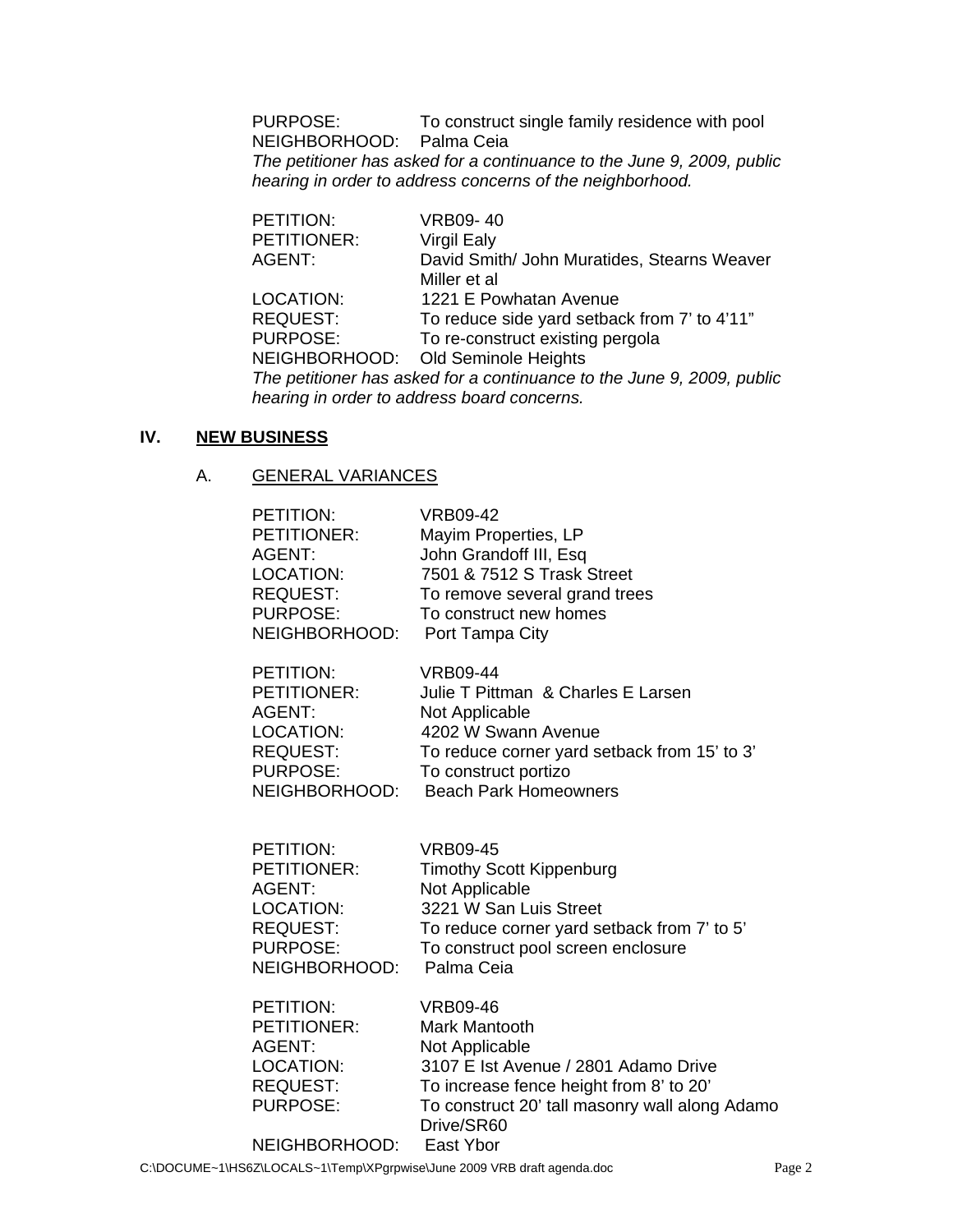PURPOSE: To construct single family residence with pool NEIGHBORHOOD: Palma Ceia *The petitioner has asked for a continuance to the June 9, 2009, public hearing in order to address concerns of the neighborhood.* 

| PETITION:                                                              | <b>VRB09-40</b>                              |  |
|------------------------------------------------------------------------|----------------------------------------------|--|
| PETITIONER:                                                            | <b>Virgil Ealy</b>                           |  |
| AGENT:                                                                 | David Smith/ John Muratides, Stearns Weaver  |  |
|                                                                        | Miller et al                                 |  |
| LOCATION:                                                              | 1221 E Powhatan Avenue                       |  |
| <b>REQUEST:</b>                                                        | To reduce side yard setback from 7' to 4'11" |  |
| <b>PURPOSE:</b>                                                        | To re-construct existing pergola             |  |
|                                                                        | NEIGHBORHOOD: Old Seminole Heights           |  |
| The petitioner has asked for a continuance to the June 9, 2009, public |                                              |  |
| hearing in order to address board concerns.                            |                                              |  |

## **IV. NEW BUSINESS**

## A. GENERAL VARIANCES

| PETITION:                                                                                    | VRB09-42                                                                                                                                                                                                     |
|----------------------------------------------------------------------------------------------|--------------------------------------------------------------------------------------------------------------------------------------------------------------------------------------------------------------|
| PETITIONER:                                                                                  | Mayim Properties, LP                                                                                                                                                                                         |
| AGENT:                                                                                       | John Grandoff III, Esq                                                                                                                                                                                       |
| LOCATION:                                                                                    | 7501 & 7512 S Trask Street                                                                                                                                                                                   |
| <b>REQUEST:</b>                                                                              | To remove several grand trees                                                                                                                                                                                |
| <b>PURPOSE:</b>                                                                              | To construct new homes                                                                                                                                                                                       |
| NEIGHBORHOOD:                                                                                | Port Tampa City                                                                                                                                                                                              |
| <b>PETITION:</b>                                                                             | <b>VRB09-44</b>                                                                                                                                                                                              |
| <b>PETITIONER:</b>                                                                           | Julie T Pittman & Charles E Larsen                                                                                                                                                                           |
| <b>AGENT:</b>                                                                                | Not Applicable                                                                                                                                                                                               |
| LOCATION:                                                                                    | 4202 W Swann Avenue                                                                                                                                                                                          |
| <b>REQUEST:</b>                                                                              | To reduce corner yard setback from 15' to 3'                                                                                                                                                                 |
| <b>PURPOSE:</b>                                                                              | To construct portizo                                                                                                                                                                                         |
| NEIGHBORHOOD:                                                                                | <b>Beach Park Homeowners</b>                                                                                                                                                                                 |
| <b>PETITION:</b>                                                                             | <b>VRB09-45</b>                                                                                                                                                                                              |
| PETITIONER:                                                                                  | <b>Timothy Scott Kippenburg</b>                                                                                                                                                                              |
| AGENT:                                                                                       | Not Applicable                                                                                                                                                                                               |
| <b>LOCATION:</b>                                                                             | 3221 W San Luis Street                                                                                                                                                                                       |
| <b>REQUEST:</b>                                                                              | To reduce corner yard setback from 7' to 5'                                                                                                                                                                  |
| <b>PURPOSE:</b>                                                                              | To construct pool screen enclosure                                                                                                                                                                           |
| NEIGHBORHOOD:                                                                                | Palma Ceia                                                                                                                                                                                                   |
| PETITION:<br>PETITIONER:<br><b>AGENT:</b><br>LOCATION:<br><b>REQUEST:</b><br><b>PURPOSE:</b> | <b>VRB09-46</b><br><b>Mark Mantooth</b><br>Not Applicable<br>3107 E Ist Avenue / 2801 Adamo Drive<br>To increase fence height from 8' to 20'<br>To construct 20' tall masonry wall along Adamo<br>Drive/SR60 |

NEIGHBORHOOD: East Ybor

C:\DOCUME~1\HS6Z\LOCALS~1\Temp\XPgrpwise\June 2009 VRB draft agenda.doc Page 2